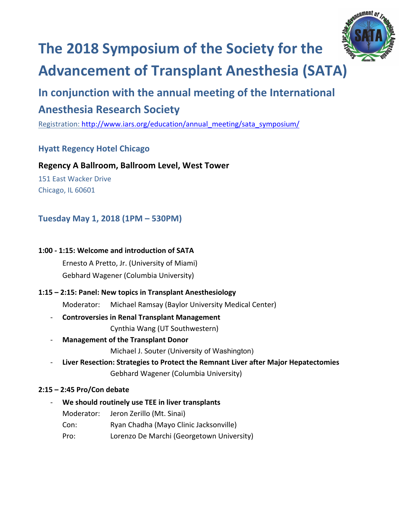

# **The 2018 Symposium of the Society for the**

## **Advancement of Transplant Anesthesia (SATA)**

# In conjunction with the annual meeting of the International

### **Anesthesia Research Society**

Registration: http://www.iars.org/education/annual\_meeting/sata\_symposium/

#### **Hyatt Regency Hotel Chicago**

#### **Regency A Ballroom, Ballroom Level, West Tower**

151 East Wacker Drive Chicago, IL 60601

#### **Tuesday May 1, 2018 (1PM – 530PM)**

#### **1:00 - 1:15: Welcome and introduction of SATA**

Ernesto A Pretto, Jr. (University of Miami) Gebhard Wagener (Columbia University)

#### **1:15 – 2:15: Panel: New topics in Transplant Anesthesiology**

Moderator: Michael Ramsay (Baylor University Medical Center)

#### - **Controversies in Renal Transplant Management**

Cynthia Wang (UT Southwestern)

#### - **Management of the Transplant Donor**

Michael J. Souter (University of Washington)

- Liver Resection: Strategies to Protect the Remnant Liver after Major Hepatectomies Gebhard Wagener (Columbia University)

#### **2:15 – 2:45 Pro/Con debate**

#### We should routinely use TEE in liver transplants

- Moderator: Jeron Zerillo (Mt. Sinai)
- Con: Ryan Chadha (Mayo Clinic Jacksonville)
- Pro: Lorenzo De Marchi (Georgetown University)